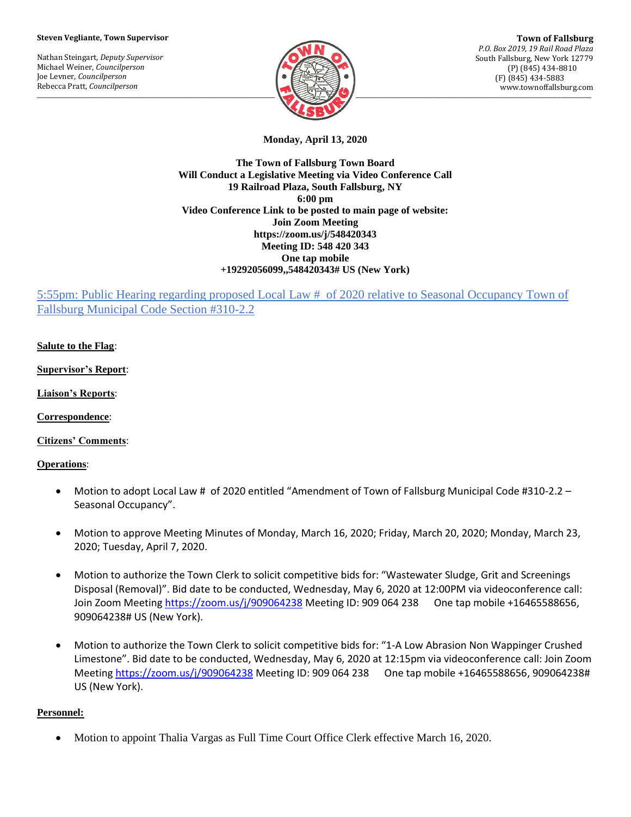## **Steven Vegliante, Town Supervisor**

Nathan Steingart, *Deputy Supervisor* Michael Weiner, *Councilperson* Joe Levner, *Councilperson* Rebecca Pratt, *Councilperson*



**Town of Fallsburg** *P.O. Box 2019, 19 Rail Road Plaza* South Fallsburg, New York 12779 (P) (845) 434-8810 (F) (845) 434-5883 www.townoffallsburg.com

**Monday, April 13, 2020**

**The Town of Fallsburg Town Board Will Conduct a Legislative Meeting via Video Conference Call 19 Railroad Plaza, South Fallsburg, NY 6:00 pm Video Conference Link to be posted to main page of website: Join Zoom Meeting https://zoom.us/j/548420343 Meeting ID: 548 420 343 One tap mobile +19292056099,,548420343# US (New York)**

5:55pm: Public Hearing regarding proposed Local Law # of 2020 relative to Seasonal Occupancy Town of Fallsburg Municipal Code Section #310-2.2

**Salute to the Flag**:

**Supervisor's Report**:

**Liaison's Reports**:

**Correspondence**:

**Citizens' Comments**:

**Operations**:

- Motion to adopt Local Law # of 2020 entitled "Amendment of Town of Fallsburg Municipal Code #310-2.2 Seasonal Occupancy".
- Motion to approve Meeting Minutes of Monday, March 16, 2020; Friday, March 20, 2020; Monday, March 23, 2020; Tuesday, April 7, 2020.
- Motion to authorize the Town Clerk to solicit competitive bids for: "Wastewater Sludge, Grit and Screenings Disposal (Removal)". Bid date to be conducted, Wednesday, May 6, 2020 at 12:00PM via videoconference call: Join Zoom Meeting<https://zoom.us/j/909064238> Meeting ID: 909 064 238 One tap mobile +16465588656, 909064238# US (New York).
- Motion to authorize the Town Clerk to solicit competitive bids for: "1-A Low Abrasion Non Wappinger Crushed Limestone". Bid date to be conducted, Wednesday, May 6, 2020 at 12:15pm via videoconference call: Join Zoom Meeting<https://zoom.us/j/909064238> Meeting ID: 909 064 238 One tap mobile +16465588656, 909064238# US (New York).

## **Personnel:**

• Motion to appoint Thalia Vargas as Full Time Court Office Clerk effective March 16, 2020.